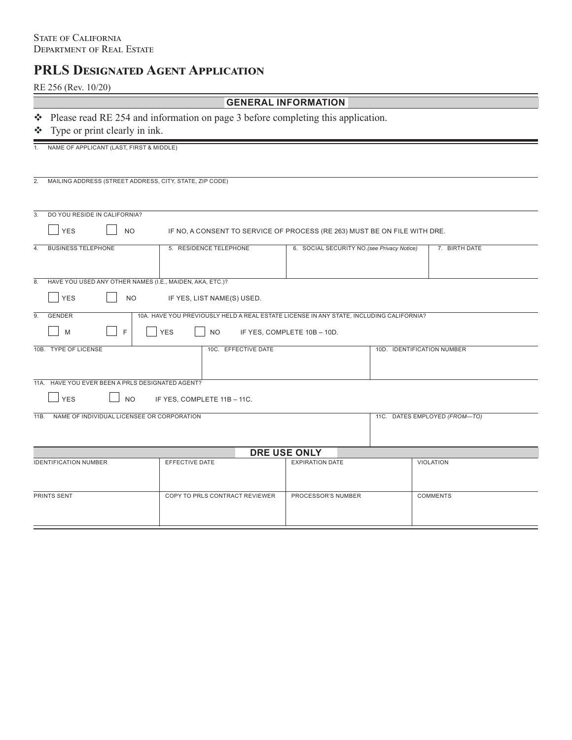# **PRLS Designated Agent Application**

RE 256 (Rev. 10/20)

| <b>GENERAL INFORMATION</b> |  |
|----------------------------|--|
|----------------------------|--|

Please read RE 254 and information on page 3 before completing this application.

# Type or print clearly in ink.

|                                                       | . .                                                                                                  |                                                                                         |                                                             |  |                               |  |  |  |  |
|-------------------------------------------------------|------------------------------------------------------------------------------------------------------|-----------------------------------------------------------------------------------------|-------------------------------------------------------------|--|-------------------------------|--|--|--|--|
| 1.                                                    | NAME OF APPLICANT (LAST, FIRST & MIDDLE)                                                             |                                                                                         |                                                             |  |                               |  |  |  |  |
| 2.                                                    | MAILING ADDRESS (STREET ADDRESS, CITY, STATE, ZIP CODE)                                              |                                                                                         |                                                             |  |                               |  |  |  |  |
| 3.                                                    | DO YOU RESIDE IN CALIFORNIA?                                                                         |                                                                                         |                                                             |  |                               |  |  |  |  |
|                                                       | <b>YES</b><br><b>NO</b><br>IF NO, A CONSENT TO SERVICE OF PROCESS (RE 263) MUST BE ON FILE WITH DRE. |                                                                                         |                                                             |  |                               |  |  |  |  |
| 4.                                                    | <b>BUSINESS TELEPHONE</b>                                                                            | 5. RESIDENCE TELEPHONE                                                                  | 6. SOCIAL SECURITY NO.(see Privacy Notice)<br>7. BIRTH DATE |  |                               |  |  |  |  |
|                                                       |                                                                                                      |                                                                                         |                                                             |  |                               |  |  |  |  |
| $\overline{8}$ .                                      | HAVE YOU USED ANY OTHER NAMES (I.E., MAIDEN, AKA, ETC.)?                                             |                                                                                         |                                                             |  |                               |  |  |  |  |
| <b>YES</b><br><b>NO</b><br>IF YES, LIST NAME(S) USED. |                                                                                                      |                                                                                         |                                                             |  |                               |  |  |  |  |
| $\overline{9}$ .                                      | GENDER                                                                                               | 10A. HAVE YOU PREVIOUSLY HELD A REAL ESTATE LICENSE IN ANY STATE, INCLUDING CALIFORNIA? |                                                             |  |                               |  |  |  |  |
|                                                       | F<br>M                                                                                               | <b>YES</b><br><b>NO</b>                                                                 | IF YES, COMPLETE 10B - 10D.                                 |  |                               |  |  |  |  |
|                                                       | 10B. TYPE OF LICENSE                                                                                 | 10C. EFFECTIVE DATE                                                                     | 10D. IDENTIFICATION NUMBER                                  |  |                               |  |  |  |  |
|                                                       | 11A. HAVE YOU EVER BEEN A PRLS DESIGNATED AGENT?                                                     |                                                                                         |                                                             |  |                               |  |  |  |  |
|                                                       | <b>YES</b><br><b>NO</b>                                                                              | IF YES, COMPLETE 11B - 11C.                                                             |                                                             |  |                               |  |  |  |  |
| 11B.                                                  | NAME OF INDIVIDUAL LICENSEE OR CORPORATION                                                           |                                                                                         |                                                             |  | 11C. DATES EMPLOYED (FROM-TO) |  |  |  |  |
| <b>DRE USE ONLY</b>                                   |                                                                                                      |                                                                                         |                                                             |  |                               |  |  |  |  |
|                                                       | <b>IDENTIFICATION NUMBER</b>                                                                         | EFFECTIVE DATE                                                                          | <b>EXPIRATION DATE</b>                                      |  | VIOLATION                     |  |  |  |  |
|                                                       | PRINTS SENT                                                                                          | COPY TO PRLS CONTRACT REVIEWER                                                          | PROCESSOR'S NUMBER                                          |  | <b>COMMENTS</b>               |  |  |  |  |
|                                                       |                                                                                                      |                                                                                         |                                                             |  |                               |  |  |  |  |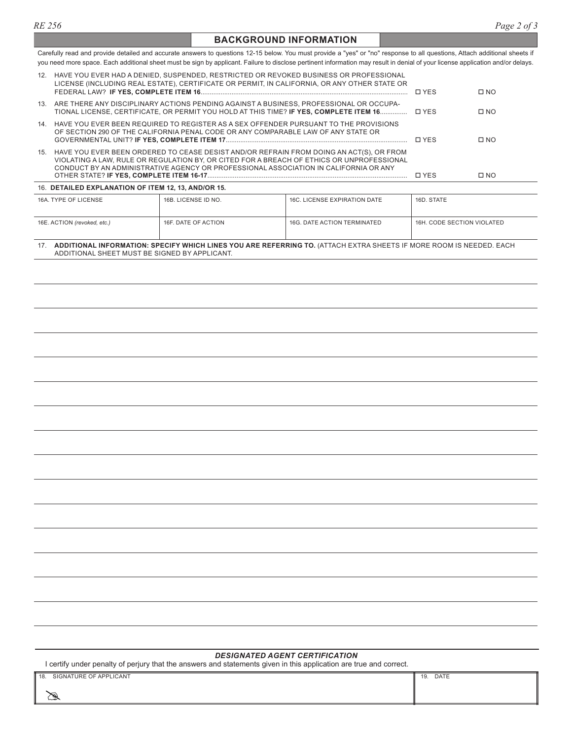#### **BACKGROUND INFORMATION**

Carefully read and provide detailed and accurate answers to questions 12-15 below. You must provide a "yes" or "no" response to all questions, Attach additional sheets if you need more space. Each additional sheet must be sign by applicant. Failure to disclose pertinent information may result in denial of your license application and/or delays.

| 12.                                                                                                                                                                                                                                                                                 |                                                                                                                                                                               | HAVE YOU EVER HAD A DENIED, SUSPENDED, RESTRICTED OR REVOKED BUSINESS OR PROFESSIONAL<br>LICENSE (INCLUDING REAL ESTATE), CERTIFICATE OR PERMIT, IN CALIFORNIA, OR ANY OTHER STATE OR |                                    | <b>TIYES</b>               | $\square$ NO |  |  |
|-------------------------------------------------------------------------------------------------------------------------------------------------------------------------------------------------------------------------------------------------------------------------------------|-------------------------------------------------------------------------------------------------------------------------------------------------------------------------------|---------------------------------------------------------------------------------------------------------------------------------------------------------------------------------------|------------------------------------|----------------------------|--------------|--|--|
|                                                                                                                                                                                                                                                                                     |                                                                                                                                                                               | 13. ARE THERE ANY DISCIPLINARY ACTIONS PENDING AGAINST A BUSINESS, PROFESSIONAL OR OCCUPA-                                                                                            |                                    |                            | $\square$ NO |  |  |
|                                                                                                                                                                                                                                                                                     | 14. HAVE YOU EVER BEEN REQUIRED TO REGISTER AS A SEX OFFENDER PURSUANT TO THE PROVISIONS<br>OF SECTION 290 OF THE CALIFORNIA PENAL CODE OR ANY COMPARABLE LAW OF ANY STATE OR |                                                                                                                                                                                       |                                    | □ YES                      | $\square$ NO |  |  |
| HAVE YOU EVER BEEN ORDERED TO CEASE DESIST AND/OR REFRAIN FROM DOING AN ACT(S), OR FROM<br>15.<br>VIOLATING A LAW. RULE OR REGULATION BY, OR CITED FOR A BREACH OF ETHICS OR UNPROFESSIONAL<br>CONDUCT BY AN ADMINISTRATIVE AGENCY OR PROFESSIONAL ASSOCIATION IN CALIFORNIA OR ANY |                                                                                                                                                                               |                                                                                                                                                                                       |                                    | $\Box$ YES                 | $\square$ NO |  |  |
| 16. DETAILED EXPLANATION OF ITEM 12, 13, AND/OR 15.                                                                                                                                                                                                                                 |                                                                                                                                                                               |                                                                                                                                                                                       |                                    |                            |              |  |  |
|                                                                                                                                                                                                                                                                                     | 16A. TYPE OF LICENSE                                                                                                                                                          | 16B. LICENSE ID NO.                                                                                                                                                                   | 16C. LICENSE EXPIRATION DATE       | 16D. STATE                 |              |  |  |
|                                                                                                                                                                                                                                                                                     | 16E. ACTION (revoked, etc.)                                                                                                                                                   | 16F. DATE OF ACTION                                                                                                                                                                   | <b>16G. DATE ACTION TERMINATED</b> | 16H. CODE SECTION VIOLATED |              |  |  |

17. **ADDITIONAL INFORMATION: SPECIFY WHICH LINES YOU ARE REFERRING TO.** (ATTACH EXTRA SHEETS IF MORE ROOM IS NEEDED. EACH ADDITIONAL SHEET MUST BE SIGNED BY APPLICANT.

#### *DESIGNATED AGENT CERTIFICATION*

I certify under penalty of perjury that the answers and statements given in this application are true and correct.

| 18.<br>SIGNATURE OF APPLICANT | <b>DATE</b><br>19. |
|-------------------------------|--------------------|
|                               |                    |
| س                             |                    |